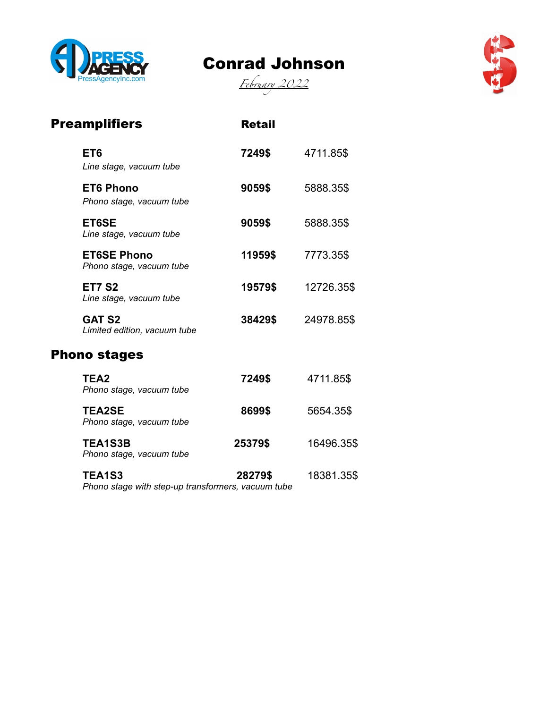

## Conrad Johnson





| <b>Preamplifiers</b>                           | <b>Retail</b> |            |
|------------------------------------------------|---------------|------------|
| ET <sub>6</sub><br>Line stage, vacuum tube     | 7249\$        | 4711.85\$  |
| <b>ET6 Phono</b><br>Phono stage, vacuum tube   | 9059\$        | 5888.35\$  |
| ET6SE<br>Line stage, vacuum tube               | 9059\$        | 5888.35\$  |
| <b>ET6SE Phono</b><br>Phono stage, vacuum tube | 11959\$       | 7773.35\$  |
| <b>ET7 S2</b><br>Line stage, vacuum tube       | 19579\$       | 12726.35\$ |
| <b>GAT S2</b><br>Limited edition, vacuum tube  | 38429\$       | 24978.85\$ |
| <b>Phono stages</b>                            |               |            |
| TEA <sub>2</sub><br>Phono stage, vacuum tube   | 7249\$        | 4711.85\$  |
| <b>TEA2SE</b><br>Phono stage, vacuum tube      | 8699\$        | 5654.35\$  |
| <b>TEA1S3B</b><br>Phono stage, vacuum tube     | 25379\$       | 16496.35\$ |
| <b>TEA1S3</b>                                  | 28279\$       | 18381.35\$ |

*Phono stage with step-up transformers, vacuum tube*